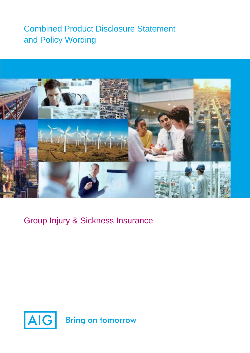# Combined Product Disclosure Statement and Policy Wording



Group Injury & Sickness Insurance

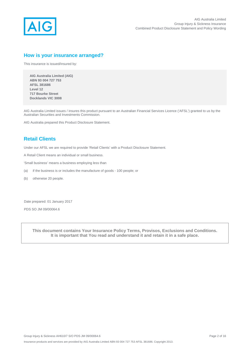

## **How is your insurance arranged?**

This insurance is issued/insured by:

 **AIG Australia Limited (AIG) ABN 93 004 727 753 AFSL 381686 Level 12 717 Bourke Street Docklands VIC 3008** 

AIG Australia Limited issues / insures this product pursuant to an Australian Financial Services Licence ('AFSL') granted to us by the Australian Securities and Investments Commission.

AIG Australia prepared this Product Disclosure Statement.

# **Retail Clients**

Under our AFSL we are required to provide 'Retail Clients' with a Product Disclosure Statement.

A Retail Client means an individual or small business.

'Small business' means a business employing less than

- (a) if the business is or includes the manufacture of goods 100 people; or
- (b) otherwise 20 people.

Date prepared: 01 January 2017

PDS SO JM 09/00064.6

**This document contains Your Insurance Policy Terms, Provisos, Exclusions and Conditions. It is important that You read and understand it and retain it in a safe place.**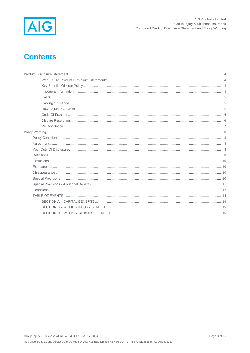

# **Contents**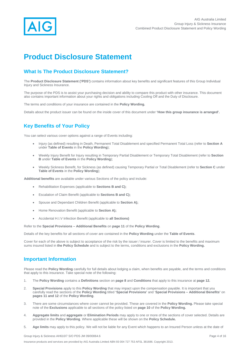

# **Product Disclosure Statement**

# **What Is The Product Disclosure Statement?**

The **Product Disclosure Statement ('PDS')** contains information about key benefits and significant features of this Group Individual Injury and Sickness Insurance.

The purpose of the PDS is to assist your purchasing decision and ability to compare this product with other insurance. This document also contains important information about your rights and obligations including Cooling Off and the Duty of Disclosure.

The terms and conditions of your insurance are contained in the **Policy Wording.**

Details about the product issuer can be found on the inside cover of this document under **'How this group insurance is arranged'.**

# **Key Benefits of Your Policy**

You can select various cover options against a range of Events including:

- Injury (as defined) resulting in Death, Permanent Total Disablement and specified Permanent Total Loss (refer to **Section A**  under **Table of Events** in the **Policy Wording**);
- Weekly Injury Benefit for Injury resulting in Temporary Partial Disablement or Temporary Total Disablement (refer to **Section B** under **Table of Events** in the **Policy Wording**);
- Weekly Sickness Benefit, for Sickness (as defined) causing Temporary Partial or Total Disablement (refer to **Section C** under **Table of Events** in the **Policy Wording**);

**Additional benefits** are available under various Sections of the policy and include:

- Rehabilitation Expenses (applicable to **Sections B and C);**
- Escalation of Claim Benefit (applicable to **Sections B and C);**
- Spouse and Dependant Children Benefit (applicable to **Section A);**
- Home Renovation Benefit (applicable to **Section A);**
- Accidental H.I.V Infection Benefit (applicable to **all Sections)**

Refer to the **Special Provisions – Additional Benefits** on **page 11** of the **Policy Wording**.

Details of the key benefits for all sections of cover are contained in the **Policy Wording** under the **Table of Events**.

Cover for each of the above is subject to acceptance of the risk by the issuer / insurer. Cover is limited to the benefits and maximum sums insured listed in **the Policy Schedule** and is subject to the terms, conditions and exclusions in the **Policy Wording.**

### **Important Information**

Please read the **Policy Wording** carefully for full details about lodging a claim, when benefits are payable, and the terms and conditions that apply to this insurance. Take special note of the following:

- 1. The **Policy Wording** contains a **Definitions** section on **page 8** and **Conditions** that apply to this insurance at **page 12.**
- 2. **Special Provisions** apply to this **Policy Wording** that may impact upon the compensation payable. It is important that you carefully read the sections of the **Policy Wording** titled **'Special Provisions'** and '**Special Provisions – Additional Benefits'** on **pages 11 and 12** of the **Policy Wording**.
- 3. There are some circumstances where cover cannot be provided. These are covered in the **Policy Wording.** Please take special note of the **Exclusions** applicable to all sections of the policy listed on **page 10** of the **Policy Wording.**
- 4. **Aggregate limits** and **aggregate** or **Elimination Periods** may apply to one or more of the sections of cover selected. Details are provided in the **Policy Wording**. Where applicable these will be shown on the **Policy Schedule.**
- 5. **Age limits** may apply to this policy. We will not be liable for any Event which happens to an Insured Person unless at the date of

Group Injury & Sickness AH610/7 S/O PDS JM 09/00064.6 Page 4 of 16

Insurance products and services are provided by AIG Australia Limited ABN 93 004 727 753 AFSL 381686. Copyright 2013.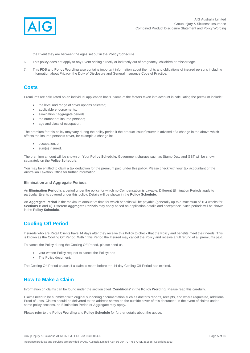

the Event they are between the ages set out in the **Policy Schedule.**

- 6. This policy does not apply to any Event arising directly or indirectly out of pregnancy, childbirth or miscarriage.
- 7. This **PDS** and **Policy Wording** also contains important information about the rights and obligations of insured persons including information about Privacy, the Duty of Disclosure and General Insurance Code of Practice.

### **Costs**

Premiums are calculated on an individual application basis. Some of the factors taken into account in calculating the premium include:

- the level and range of cover options selected;
- applicable endorsements:
- **e** elimination / aggregate periods:
- the number of insured persons:
- age and class of occupation.

The premium for this policy may vary during the policy period if the product issuer/insurer is advised of a change in the above which affects the insured person's cover, for example a change in:

- occupation; or
- sum(s) insured.

The premium amount will be shown on Your **Policy Schedule.** Government charges such as Stamp Duty and GST will be shown separately on the **Policy Schedule.**

You may be entitled to claim a tax deduction for the premium paid under this policy. Please check with your tax accountant or the Australian Taxation Office for further information.

#### **Elimination and Aggregate Periods**

An **Elimination Period** is a period under the policy for which no Compensation is payable. Different Elimination Periods apply to particular Events covered under this policy. Details will be shown in the **Policy Schedule.**

An **Aggregate Period** is the maximum amount of time for which benefits will be payable (generally up to a maximum of 104 weeks for **Sections B** and **C**). Different **Aggregate Periods** may apply based on application details and acceptance. Such periods will be shown in the **Policy Schedule**.

# **Cooling Off Period**

Insureds who are Retail Clients have 14 days after they receive this Policy to check that the Policy and benefits meet their needs. This is known as the Cooling Off Period. Within this Period the Insured may cancel the Policy and receive a full refund of all premiums paid.

To cancel the Policy during the Cooling Off Period, please send us:

- your written Policy request to cancel the Policy; and
- The Policy document.

The Cooling Off Period ceases if a claim is made before the 14 day Cooling Off Period has expired.

## **How to Make a Claim**

Information on claims can be found under the section titled '**Conditions'** in the **Policy Wording**. Please read this carefully.

Claims need to be submitted with original supporting documentation such as doctor's reports, receipts, and where requested, additional Proof of Loss. Claims should be delivered to the address shown on the outside cover of this document. In the event of claims under some policy sections, an Elimination Period or Aggregate may apply.

Please refer to the **Policy Wording** and **Policy Schedule** for further details about the above.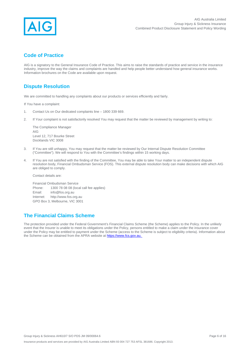

# **Code of Practice**

AIG is a signatory to the General Insurance Code of Practice. This aims to raise the standards of practice and service in the insurance industry, improve the way the claims and complaints are handled and help people better understand how general insurance works. Information brochures on the Code are available upon request.

## **Dispute Resolution**

We are committed to handling any complaints about our products or services efficiently and fairly.

If You have a complaint:

- 1. Contact Us on Our dedicated complaints line 1800 339 669.
- 2. If Your complaint is not satisfactorily resolved You may request that the matter be reviewed by management by writing to:

The Compliance Manager AIG Level 12, 717 Bourke Street Docklands VIC 3008

- 3. If You are still unhappy, You may request that the matter be reviewed by Our Internal Dispute Resolution Committee ("Committee"). We will respond to You with the Committee's findings within 15 working days.
- 4. If You are not satisfied with the finding of the Committee, You may be able to take Your matter to an independent dispute resolution body, Financial Ombudsman Service (FOS). This external dispute resolution body can make decisions with which AIG are obliged to comply.

Contact details are:

Financial Ombudsman Service Phone: 1300 78 08 08 (local call fee applies) Email: info@fos.org.au Internet: http://www.fos.org.au GPO Box 3, Melbourne, VIC 3001

## **The Financial Claims Scheme**

The protection provided under the Federal Government's Financial Claims Scheme (the Scheme) applies to the Policy. In the unlikely event that the Insurer is unable to meet its obligations under the Policy, persons entitled to make a claim under the insurance cover under the Policy may be entitled to payment under the Scheme (access to the Scheme is subject to eligibility criteria). Information about the Scheme can be obtained from the APRA website at https://www.fcs.gov.au.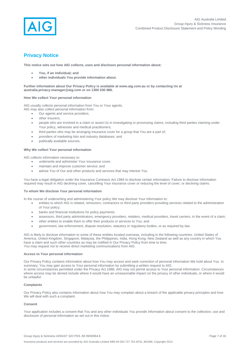

# **Privacy Notice**

**This notice sets out how AIG collects, uses and discloses personal information about:** 

- **You, if an individual; and**
- **other individuals You provide information about.**

**Further information about Our Privacy Policy is available at www.aig.com.au or by contacting Us at australia.privacy.manager@aig.com or on 1300 030 886.**

#### **How We collect Your personal information**

AIG usually collects personal information from You or Your agents.

- AIG may also collect personal information from:
	- Our agents and service providers;
	- other insurers:
	- people who are involved in a claim or assist Us in investigating or processing claims, including third parties claiming under Your policy, witnesses and medical practitioners;
	- third parties who may be arranging insurance cover for a group that You are a part of:
	- providers of marketing lists and industry databases; and
	- publically available sources.

#### **Why We collect Your personal information**

AIG collects information necessary to:

- **•** underwrite and administer Your insurance cover:
- maintain and improve customer service; and
- advise You of Our and other products and services that may interest You.

You have a legal obligation under the Insurance Contracts Act 1984 to disclose certain information. Failure to disclose information required may result in AIG declining cover, cancelling Your insurance cover or reducing the level of cover, or declining claims.

#### **To whom We disclose Your personal information**

In the course of underwriting and administering Your policy We may disclose Your information to:

- entities to which AIG is related, reinsurers, contractors or third party providers providing services related to the administration of Your policy;
- banks and financial institutions for policy payments;
- assessors, third party administrators, emergency providers, retailers, medical providers, travel carriers, in the event of a claim;
- other entities to enable them to offer their products or services to You; and
- government, law enforcement, dispute resolution, statutory or regulatory bodies, or as required by law.

AIG is likely to disclose information to some of these entities located overseas, including in the following countries: United States of America, United Kingdom, Singapore, Malaysia, the Philippines, India, Hong Kong, New Zealand as well as any country in which You have a claim and such other countries as may be notified in Our Privacy Policy from time to time. You may request not to receive direct marketing communications from AIG.

#### **Access to Your personal information**

Our Privacy Policy contains information about how You may access and seek correction of personal information We hold about You. In summary, You may gain access to Your personal information by submitting a written request to AIG. In some circumstances permitted under the Privacy Act 1988, AIG may not permit access to Your personal information. Circumstances where access may be denied include where it would have an unreasonable impact on the privacy of other individuals, or where it would

### be unlawful. **Complaints**

Our Privacy Policy also contains information about how You may complain about a breach of the applicable privacy principles and how We will deal with such a complaint.

#### **Consent**

Your application includes a consent that You and any other individuals You provide information about consent to the collection, use and disclosure of personal information as set out in this notice.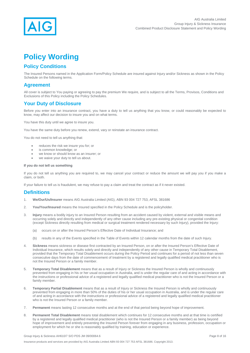

# **Policy Wording**

## **Policy Conditions**

The Insured Persons named in the Application Form/Policy Schedule are insured against Injury and/or Sickness as shown in the Policy Schedule on the following terms.

### **Agreement**

All cover is subject to You paying or agreeing to pay the premium We require, and is subject to all the Terms, Provisos, Conditions and Exclusions of this Policy including the Policy Schedules.

### **Your Duty of Disclosure**

Before you enter into an insurance contract, you have a duty to tell us anything that you know, or could reasonably be expected to know, may affect our decision to insure you and on what terms.

You have this duty until we agree to insure you.

You have the same duty before you renew, extend, vary or reinstate an insurance contract.

You do not need to tell us anything that:

- reduces the risk we insure you for; or
- is common knowledge; or
- we know or should know as an insurer; or
- we waive your duty to tell us about.

#### **If you do not tell us something**

If you do not tell us anything you are required to, we may cancel your contract or reduce the amount we will pay you if you make a claim, or both.

If your failure to tell us is fraudulent, we may refuse to pay a claim and treat the contract as if it never existed.

### **Definitions**

- 1. **We/Our/Us/Insurer** means AIG Australia Limited (AIG), ABN 93 004 727 753, AFSL 381686
- 2. **You/Your/Insured** means the Insured specified in the Policy Schedule and is the policyholder.
- 3. **Injury** means a bodily injury to an Insured Person resulting from an accident caused by violent, external and visible means and occurring solely and directly and independently of any other cause including any pre-existing physical or congenital condition (except Sickness directly resulting from medical or surgical treatment rendered necessary by such Injury), provided the Injury:
	- (a) occurs on or after the Insured Person's Effective Date of Individual Insurance; and
	- (b) results in any of the Events specified in the Table of Events within 12 calendar months from the date of such Injury.
- 4. **Sickness** means sickness or disease first contracted by an Insured Person, on or after the Insured Person's Effective Date of Individual Insurance, which results solely and directly and independently of any other cause in Temporary Total Disablement, provided that the Temporary Total Disablement occurs during the Policy Period and continues for a period of not less than seven consecutive days from the date of commencement of treatment by a registered and legally qualified medical practitioner who is not the Insured Person or a family member.
- 5. **Temporary Total Disablement** means that as a result of Injury or Sickness the Insured Person is wholly and continuously prevented from engaging in his or her usual occupation in Australia, and is under the regular care of and acting in accordance with the instructions or professional advice of a registered and legally qualified medical practitioner who is not the Insured Person or a family member.
- 6. **Temporary Partial Disablement** means that as a result of Injury or Sickness the Insured Person is wholly and continuously prevented from engaging in more than 50% of the duties of his or her usual occupation in Australia, and is under the regular care of and acting in accordance with the instructions or professional advice of a registered and legally qualified medical practitioner who is not the Insured Person or a family member.
- 7. **Permanent** means lasting 12 consecutive months and at the end of that period being beyond hope of improvement.
- 8. **Permanent Total Disablement** means total disablement which continues for 12 consecutive months and at that time is certified by a registered and legally qualified medical practitioner (who is not the Insured Person or a family member) as being beyond hope of improvement and entirely preventing the Insured Person forever from engaging in any business, profession, occupation or employment for which he or she is reasonably qualified by training, education or experience.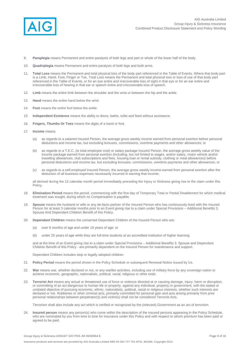

- 9. **Paraplegia** means Permanent and entire paralysis of both legs and part or whole of the lower half of the body.
- 10. **Quadriplegia** means Permanent and entire paralysis of both legs and both arms.
- 11. **Total Loss** means the Permanent and total physical loss of the body part referenced in the Table of Events. Where that body part is a Limb, Hand, Foot, Finger or Toe, Total Loss means the Permanent and total physical loss or loss of use of that body part referenced in the Table of Events, or for an eye entire and irrecoverable loss of sight in that eye or for an ear entire and irrecoverable loss of hearing in that ear or speech entire and irrecoverable loss of speech.
- 12. **Limb** means the entire limb between the shoulder and the wrist or between the hip and the ankle.
- 13. **Hand** means the entire hand below the wrist.
- 14. **Foot** means the entire foot below the ankle.
- 15. **Independent Existence** means the ability to dress, bathe, toilet and feed without assistance.
- 16. **Fingers, Thumbs Or Toes** means the digits of a hand or foot.
- 17. **Income** means
	- (a) as regards to a salaried Insured Person, the average gross weekly income earned from personal exertion before personal deductions and income tax, but excluding bonuses, commissions, overtime payments and other allowances; or
	- (b) as regards to a T.E.C. (ie total employee cost) or salary package Insured Person, the average gross weekly value of the income package earned from personal exertion (including, but not limited to wages, and/or salary, motor vehicle and/or travelling allowances, club subscriptions and fees, housing loan or rental subsidy, clothing or meal allowances) before personal deductions and income tax, but excluding bonuses, commissions, overtime payments and other allowances; or
	- (c) as regards to a self-employed Insured Person, the average gross weekly income earned from personal exertion after the deduction of all business expenses necessarily incurred in earning that income;

all derived during the 12 calendar month period immediately preceding the Injury or Sickness giving rise to the claim under this Policy.

- 18. **Elimination Period** means the period, commencing with the first day of Temporary Total or Partial Disablement for which medical treatment was sought, during which no Compensation is payable.
- 19. **Spouse** means the husband or wife or any de-facto partner of the Insured Person who has continuously lived with the Insured Person for at least 3 calendar months prior to an Event giving rise to a claim under Special Provisions – Additional Benefits 3. Spouse And Dependant Children Benefit of this Policy.
- 20. **Dependant Children** means the unmarried Dependant Children of the Insured Person who are:
	- (a) over 6 months of age and under 19 years of age; or
	- (b) under 25 years of age while they are full-time students at an accredited institution of higher learning;

and at the time of an Event giving rise to a claim under Special Provisions – Additional Benefits 3. Spouse and Dependant Children Benefit of this Policy - are primarily dependent on the Insured Person for maintenance and support.

Dependant Children includes step or legally adopted children.

- 21. **Policy Period** means the period shown in the Policy Schedule or subsequent Renewal Notice issued by Us.
- 22. **War** means war, whether declared or not, or any warlike activities, including use of military force by any sovereign nation to achieve economic, geographic, nationalistic, political, racial, religious or other ends.
- 23. **Terrorist Act** means any actual or threatened use of force or violence directed at or causing damage, injury, harm or disruption, or committing of an act dangerous to human life or property, against any individual, property or government, with the stated or unstated objective of pursuing economic, ethnic, nationalistic, political, racial or religious interests, whether such interests are declared or not. Robberies or other criminal acts, primarily committed for personal gain and acts arising primarily from prior personal relationships between perpetrator(s) and victim(s) shall not be considered Terrorist Acts.

Terrorism shall also include any act which is verified or recognized by the (relevant) Government as an act of terrorism.

24. **Insured person** means any person(s) who come within the description of the insured persons appearing in the Policy Schedule, who are nominated by you from time to time for insurance under this Policy and with respect to whom premium has been paid or agreed to be paid.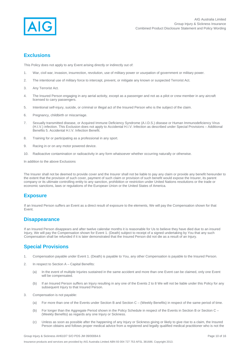

### **Exclusions**

This Policy does not apply to any Event arising directly or indirectly out of:

- 1. War, civil war, invasion, insurrection, revolution, use of military power or usurpation of government or military power.
- 2. The intentional use of military force to intercept, prevent, or mitigate any known or suspected Terrorist Act.
- 3. Any Terrorist Act.
- 4. The Insured Person engaging in any aerial activity, except as a passenger and not as a pilot or crew member in any aircraft licensed to carry passengers.
- 5. Intentional self-injury, suicide, or criminal or illegal act of the Insured Person who is the subject of the claim.
- 6. Pregnancy, childbirth or miscarriage.
- 7. Sexually transmitted disease, or Acquired Immune Deficiency Syndrome (A.I.D.S.) disease or Human Immunodeficiency Virus (H.I.V.) infection. This Exclusion does not apply to Accidental H.I.V. Infection as described under Special Provisions – Additional Benefits 5. Accidental H.I.V. Infection Benefit.
- 8. Training for or participating as a professional in any sport.
- 9. Racing in or on any motor powered device.
- 10. Radioactive contamination or radioactivity in any form whatsoever whether occurring naturally or otherwise.

In addition to the above Exclusions

The Insurer shall not be deemed to provide cover and the Insurer shall not be liable to pay any claim or provide any benefit hereunder to the extent that the provision of such cover, payment of such claim or provision of such benefit would expose the Insurer, its parent company or its ultimate controlling entity to any sanction, prohibition or restriction under United Nations resolutions or the trade or economic sanctions, laws or regulations of the European Union or the United States of America.

### **Exposure**

If an Insured Person suffers an Event as a direct result of exposure to the elements, We will pay the Compensation shown for that Event.

### **Disappearance**

If an Insured Person disappears and after twelve calendar months it is reasonable for Us to believe they have died due to an insured Injury, We will pay the Compensation shown for Event 1. (Death) subject to receipt of a signed undertaking by You that any such Compensation shall be refunded if it is later demonstrated that the Insured Person did not die as a result of an Injury.

### **Special Provisions**

- 1. Compensation payable under Event 1. (Death) is payable to You, any other Compensation is payable to the Insured Person.
- 2. In respect to Section A Capital Benefits:
	- (a) In the event of multiple Injuries sustained in the same accident and more than one Event can be claimed, only one Event will be compensated.
	- (b) If an Insured Person suffers an Injury resulting in any one of the Events 2 to 8 We will not be liable under this Policy for any subsequent Injury to that Insured Person.
- 3. Compensation is not payable:
	- (a) For more than one of the Events under Section B and Section C (Weekly Benefits) in respect of the same period of time.
	- (b) For longer than the Aggregate Period shown in the Policy Schedule in respect of the Events in Section B or Section C (Weekly Benefits) as regards any one Injury or Sickness.
	- (c) Unless as soon as possible after the happening of any Injury or Sickness giving or likely to give rise to a claim, the Insured Person obtains and follows proper medical advice from a registered and legally qualified medical practitioner who is not the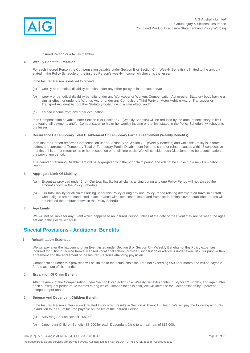

Insured Person or a family member.

#### 4. **Weekly Benefits Limitation**

For each Insured Person the Compensation payable under Section B or Section C – (Weekly Benefits) is limited to the amount stated in the Policy Schedule or the Insured Person's weekly Income, whichever is the lesser.

If the Insured Person is entitled to receive:

- (a) weekly or periodical disability benefits under any other policy of insurance; and/or
- (b) weekly or periodical disability benefits under any Workcover or Workers Compensation Act or other Statutory body having a similar effect, or under the Wrongs Act, or under any Compulsory Third Party or Motor Vehicle Act, or Transcover or Transport Accident Act or other Statutory body having similar effect; and/or
- (c) earned income from any other occupation;

then Compensation payable under Section B or Section C – (Weekly Benefits) will be reduced by the amount necessary to limit the total of all payments and/or Compensation to his or her weekly Income or the limit stated in the Policy Schedule, whichever is the lesser.

#### 5. **Recurrence Of Temporary Total Disablement Or Temporary Partial Disablement (Weekly Benefits)**

If an Insured Person receives Compensation under Section B or Section C – (Weekly Benefits) and while this Policy is in force suffers a recurrence of Temporary Total or Temporary Partial Disablement from the same or related causes within 6 consecutive months of his or her return to his or her occupation on a full time basis, We will consider such Disablement to be a continuation of the prior claim period.

The period of recurring Disablement will be aggregated with the prior claim period and will not be subject to a new Elimination Period.

#### 6. **Aggregate Limit Of Liability**

- (a) Except as provided under 6.(b), Our total liability for all claims arising during any one Policy Period will not exceed the amount shown in the Policy Schedule.
- (b) Our total liability for all claims arising under this Policy during any one Policy Period relating directly to air travel in aircraft whose flights are not conducted in accordance with fixed schedules to and from fixed terminals over established routes will not exceed the amount shown in the Policy Schedule.

#### 7. **Age Limits**

We will not be liable for any Event which happens to an Insured Person unless at the date of the Event they are between the ages set out in the Policy Schedule.

### **Special Provisions - Additional Benefits**

#### 1. **Rehabilitation Expenses**

We will pay after the happening of an Event listed under Section B or Section C – (Weekly Benefits) of this Policy expenses incurred for tuition or advice from a licensed vocational school, provided such tuition or advice is undertaken with Our prior written agreement and the agreement of the Insured Person's attending physician.

Compensation under this provision will be limited to the actual costs incurred not exceeding \$500 per month and will be payable for a maximum of six months.

#### 2. **Escalation Of Claim Benefit**

After payment of the Compensation under Section B or Section C – (Weekly Benefits) continuously for 12 months, and again after each subsequent period of 12 months during which Compensation is paid, We will increase the Compensation by 5 percent compound per annum.

#### 3. **Spouse And Dependant Children Benefit**

If the Insured Person suffers a work related Injury which results in Section A. Event 1. (Death) We will pay the following amounts in addition to the Sum Insured payable on the life of the Insured Person:

- (a) Surviving Spouse Benefit \$5,000.
- (b) Dependant Children Benefit \$5,000 for each Dependant Child to a maximum of \$15,000.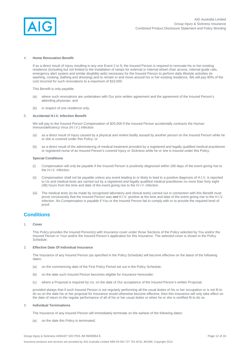

#### 4. **Home Renovation Benefit**

If as a direct result of Injury resulting in any one Event 2 to 9, the Insured Person is required to renovate his or her existing residence (including but not limited to the installation of ramps for external or internal wheel chair access, internal guide rails, emergency alert system and similar disability aids) necessary for the Insured Person to perform daily lifestyle activities (ie washing, cooking, bathing and dressing) and to remain in and move around his or her existing residence, We will pay 80% of the cost incurred for such renovations to a maximum of \$10,000.

This Benefit is only payable:

- (a) where such renovations are undertaken with Our prior written agreement and the agreement of the Insured Person's attending physician; and
- (b) in respect of one residence only.

#### 5. **Accidental H.I.V. Infection Benefit**

We will pay to the Insured Person Compensation of \$25,000 if the Insured Person accidentally contracts the Human Immunodeficiency Virus (H.I.V.) infection:

- (a) as a direct result of Injury caused by a physical and violent bodily assault by another person on the Insured Person while he or she is covered under this Policy; or
- (b) as a direct result of the administering of medical treatment provided by a registered and legally qualified medical practitioner or registered nurse of an Insured Person's covered Injury or Sickness while he or she is insured under this Policy.

#### **Special Conditions**

- (i) Compensation will only be payable if the Insured Person is positively diagnosed within 180 days of the event giving rise to the H.I.V. infection.
- (ii) Compensation shall not be payable unless any event leading to or likely to lead to a positive diagnosis of H.I.V. is reported to Us and medical tests are carried out by a registered and legally qualified medical practitioner no more than forty eight (48) hours from the time and date of the event giving rise to the H.I.V. infection.
- (iii) The medical tests (to be made by recognised laboratory and clinical tests) carried out in connection with this Benefit must prove conclusively that the Insured Person was *not* H.I.V. positive at the time and date of the event giving rise to the H.I.V. infection. No Compensation is payable if You or the Insured Person fail to comply with or to provide the required level of proof.

### **Conditions**

#### 1. **Cover**

This Policy provides the Insured Person(s) with Insurance cover under those Sections of the Policy selected by You and/or the Insured Person in Your and/or the Insured Person's application for this Insurance. The selected cover is shown in the Policy Schedule.

#### 2. **Effective Date Of Individual Insurance**

The Insurance of any Insured Person (as specified in the Policy Schedule) will become effective on the latest of the following dates:

- (a) on the commencing date of the First Policy Period set out in the Policy Schedule;
- (b) on the date such Insured Person becomes eligible for Insurance hereunder;
- (c) where a Proposal is required by Us, on the date of Our acceptance of the Insured Person's written Proposal;

provided always that if such Insured Person is not regularly performing all the usual duties of his or her occupation or is not fit to do so on the date his or her proposal for Insurance would otherwise become effective, then this Insurance will only take effect on the date of return to the regular performance of all of his or her usual duties or when he or she is certified fit to do so.

#### 3. **Individual Terminations**

The Insurance of any Insured Person will immediately terminate on the earliest of the following dates:

(a) on the date this Policy is terminated;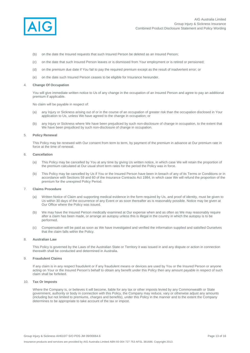

- (b) on the date the Insured requests that such Insured Person be deleted as an Insured Person;
- (c) on the date that such Insured Person leaves or is dismissed from Your employment or is retired or pensioned;
- (d) on the premium due date if You fail to pay the required premium except as the result of inadvertent error; or
- (e) on the date such Insured Person ceases to be eligible for Insurance hereunder.

#### 4. **Change Of Occupation**

You will give immediate written notice to Us of any change in the occupation of an Insured Person and agree to pay an additional premium if applicable.

No claim will be payable in respect of:

- (a) any Injury or Sickness arising out of or in the course of an occupation of greater risk than the occupation disclosed in Your application to Us, unless We have agreed to the change in occupation; or
- (b) any Injury or Sickness where We have been prejudiced by such non-disclosure of change in occupation, to the extent that We have been prejudiced by such non-disclosure of change in occupation.

#### 5. **Policy Renewal**

This Policy may be renewed with Our consent from term to term, by payment of the premium in advance at Our premium rate in force at the time of renewal.

#### 6. **Cancellation**

- (a) This Policy may be cancelled by You at any time by giving Us written notice, in which case We will retain the proportion of the premium calculated at Our usual short term rates for the period the Policy was in force.
- (b) This Policy may be cancelled by Us if You or the Insured Person have been in breach of any of its Terms or Conditions or in accordance with Sections 59 and 60 of the Insurance Contracts Act 1984, in which case We will refund the proportion of the premium for the unexpired Policy Period.

#### 7. **Claims Procedure**

- (a) Written Notice of Claim and supporting medical evidence in the form required by Us, and proof of identity, must be given to Us within 30 days of the occurrence of any Event or as soon thereafter as is reasonably possible. Notice may be given at Our Office where the Policy was issued.
- (b) We may have the Insured Person medically examined at Our expense when and as often as We may reasonably require after a claim has been made, or arrange an autopsy unless this is illegal in the country in which the autopsy is to be performed.
- (c) Compensation will be paid as soon as We have investigated and verified the information supplied and satisfied Ourselves that the claim falls within the Policy.

#### 8. **Australian Law**

This Policy is governed by the Laws of the Australian State or Territory it was issued in and any dispute or action in connection therewith shall be conducted and determined in Australia.

#### 9. **Fraudulent Claims**

If any claim is in any respect fraudulent or if any fraudulent means or devices are used by You or the Insured Person or anyone acting on Your or the Insured Person's behalf to obtain any benefit under this Policy then any amount payable in respect of such claim shall be forfeited.

#### 10. **Tax Or Imposts**

Where the Company is, or believes it will become, liable for any tax or other imposts levied by any Commonwealth or State government, authority or body in connection with this Policy, the Company may reduce, vary or otherwise adjust any amounts (including but not limited to premiums, charges and benefits), under this Policy in the manner and to the extent the Company determines to be appropriate to take account of the tax or impost.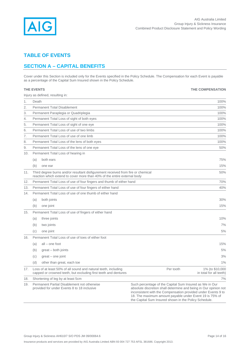

# **TABLE OF EVENTS**

# **SECTION A – CAPITAL BENEFITS**

Cover under this Section is included only for the Events specified in the Policy Schedule. The Compensation for each Event is payable as a percentage of the Capital Sum Insured shown in the Policy Schedule.

|     | <b>THE EVENTS</b>                                                                                                                                            |                                                                                                                                                                                                                                                                                                                  | <b>THE COMPENSATION</b>                    |  |
|-----|--------------------------------------------------------------------------------------------------------------------------------------------------------------|------------------------------------------------------------------------------------------------------------------------------------------------------------------------------------------------------------------------------------------------------------------------------------------------------------------|--------------------------------------------|--|
|     | Injury as defined, resulting in:                                                                                                                             |                                                                                                                                                                                                                                                                                                                  |                                            |  |
| 1.  | Death                                                                                                                                                        |                                                                                                                                                                                                                                                                                                                  | 100%                                       |  |
| 2.  | <b>Permanent Total Disablement</b><br>100%                                                                                                                   |                                                                                                                                                                                                                                                                                                                  |                                            |  |
| 3.  | Permanent Paraplegia or Quadriplegia                                                                                                                         |                                                                                                                                                                                                                                                                                                                  | 100%                                       |  |
| 4.  | Permanent Total Loss of sight of both eyes                                                                                                                   |                                                                                                                                                                                                                                                                                                                  | 100%                                       |  |
| 5.  | Permanent Total Loss of sight of one eye                                                                                                                     |                                                                                                                                                                                                                                                                                                                  | 100%                                       |  |
| 6.  | Permanent Total Loss of use of two limbs                                                                                                                     |                                                                                                                                                                                                                                                                                                                  | 100%                                       |  |
| 7.  | Permanent Total Loss of use of one limb                                                                                                                      |                                                                                                                                                                                                                                                                                                                  | 100%                                       |  |
| 8.  | Permanent Total Loss of the lens of both eyes                                                                                                                |                                                                                                                                                                                                                                                                                                                  | 100%                                       |  |
| 9.  | Permanent Total Loss of the lens of one eye                                                                                                                  |                                                                                                                                                                                                                                                                                                                  | 50%                                        |  |
| 10. | Permanent Total Loss of hearing in                                                                                                                           |                                                                                                                                                                                                                                                                                                                  |                                            |  |
|     | both ears<br>(a)                                                                                                                                             |                                                                                                                                                                                                                                                                                                                  | 75%                                        |  |
|     | (b)<br>one ear                                                                                                                                               |                                                                                                                                                                                                                                                                                                                  | 15%                                        |  |
| 11. | Third degree burns and/or resultant disfigurement received from fire or chemical<br>reaction which extend to cover more than 40% of the entire external body |                                                                                                                                                                                                                                                                                                                  | 50%                                        |  |
| 12. | Permanent Total Loss of use of four fingers and thumb of either hand                                                                                         |                                                                                                                                                                                                                                                                                                                  | 70%                                        |  |
| 13. | Permanent Total Loss of use of four fingers of either hand                                                                                                   |                                                                                                                                                                                                                                                                                                                  | 40%                                        |  |
| 14. | Permanent Total Loss of use of one thumb of either hand                                                                                                      |                                                                                                                                                                                                                                                                                                                  |                                            |  |
|     | both joints<br>(a)                                                                                                                                           |                                                                                                                                                                                                                                                                                                                  | 30%                                        |  |
|     | one joint<br>(b)                                                                                                                                             |                                                                                                                                                                                                                                                                                                                  | 15%                                        |  |
| 15. | Permanent Total Loss of use of fingers of either hand                                                                                                        |                                                                                                                                                                                                                                                                                                                  |                                            |  |
|     | three joints<br>(a)                                                                                                                                          |                                                                                                                                                                                                                                                                                                                  | 10%                                        |  |
|     | (b)<br>two joints                                                                                                                                            |                                                                                                                                                                                                                                                                                                                  | 7%                                         |  |
|     | (c)<br>one joint                                                                                                                                             |                                                                                                                                                                                                                                                                                                                  | 5%                                         |  |
| 16. | Permanent Total Loss of use of toes of either foot                                                                                                           |                                                                                                                                                                                                                                                                                                                  |                                            |  |
|     | $all$ – one foot<br>(a)                                                                                                                                      |                                                                                                                                                                                                                                                                                                                  | 15%                                        |  |
|     |                                                                                                                                                              |                                                                                                                                                                                                                                                                                                                  | 5%                                         |  |
|     | (b)<br>$great - both joints$                                                                                                                                 |                                                                                                                                                                                                                                                                                                                  |                                            |  |
|     | (c)<br>$q$ areat – one joint                                                                                                                                 |                                                                                                                                                                                                                                                                                                                  | 3%                                         |  |
|     | other than great, each toe<br>(d)                                                                                                                            |                                                                                                                                                                                                                                                                                                                  | 1%                                         |  |
| 17. | Loss of at least 50% of all sound and natural teeth, including<br>capped or crowned teeth, but excluding first teeth and dentures                            | Per tooth                                                                                                                                                                                                                                                                                                        | 1% (to \$10,000<br>in total for all teeth) |  |
| 18. | Shortening of leg by at least 5cm                                                                                                                            |                                                                                                                                                                                                                                                                                                                  | 7%                                         |  |
| 19. | Permanent Partial Disablement not otherwise<br>provided for under Events 8 to 18 inclusive                                                                   | Such percentage of the Capital Sum Insured as We in Our<br>absolute discretion shall determine and being in Our opinion not<br>inconsistent with the Compensation provided under Events 9 to<br>18. The maximum amount payable under Event 19 is 75% of<br>the Capital Sum Insured shown in the Policy Schedule. |                                            |  |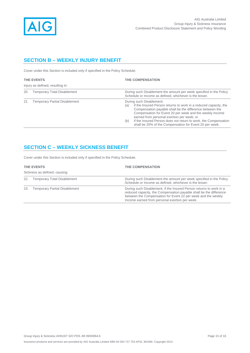

# **SECTION B – WEEKLY INJURY BENEFIT**

Cover under this Section is included only if specified in the Policy Schedule.

| <b>THE EVENTS</b>                |                                      |            | THE COMPENSATION                                                                                                                                                                                                                                                                                                                                                                                 |  |
|----------------------------------|--------------------------------------|------------|--------------------------------------------------------------------------------------------------------------------------------------------------------------------------------------------------------------------------------------------------------------------------------------------------------------------------------------------------------------------------------------------------|--|
| Injury as defined, resulting in: |                                      |            |                                                                                                                                                                                                                                                                                                                                                                                                  |  |
| 20.                              | <b>Temporary Total Disablement</b>   |            | During such Disablement the amount per week specified in the Policy<br>Schedule or Income as defined, whichever is the lesser.                                                                                                                                                                                                                                                                   |  |
| 21.                              | <b>Temporary Partial Disablement</b> | (a)<br>(b) | During such Disablement:<br>if the Insured Person returns to work in a reduced capacity, the<br>Compensation payable shall be the difference between the<br>Compensation for Event 20 per week and the weekly Income<br>earned from personal exertion per week; or<br>if the Insured Person does not return to work, the Compensation<br>shall be 25% of the Compensation for Event 20 per week. |  |

# **SECTION C – WEEKLY SICKNESS BENEFIT**

Cover under this Section is included only if specified in the Policy Schedule.

| THE EVENTS                    |                                      | <b>THE COMPENSATION</b>                                                                                                                                                                                                                                      |  |  |  |
|-------------------------------|--------------------------------------|--------------------------------------------------------------------------------------------------------------------------------------------------------------------------------------------------------------------------------------------------------------|--|--|--|
| Sickness as defined, causing: |                                      |                                                                                                                                                                                                                                                              |  |  |  |
| 22.                           | <b>Temporary Total Disablement</b>   | During such Disablement the amount per week specified in the Policy<br>.Schedule or Income as defined, whichever is the lesser.                                                                                                                              |  |  |  |
| 23.                           | <b>Temporary Partial Disablement</b> | During such Disablement, if the Insured Person returns to work in a<br>reduced capacity, the Compensation payable shall be the difference<br>between the Compensation for Event 22 per week and the weekly<br>Income earned from personal exertion per week. |  |  |  |

### Group Injury & Sickness AH610/7 S/O PDS JM 09/00064.6 Page 15 of 16 Insurance products and services are provided by AIG Australia Limited ABN 93 004 727 753 AFSL 381686. Copyright 2013.